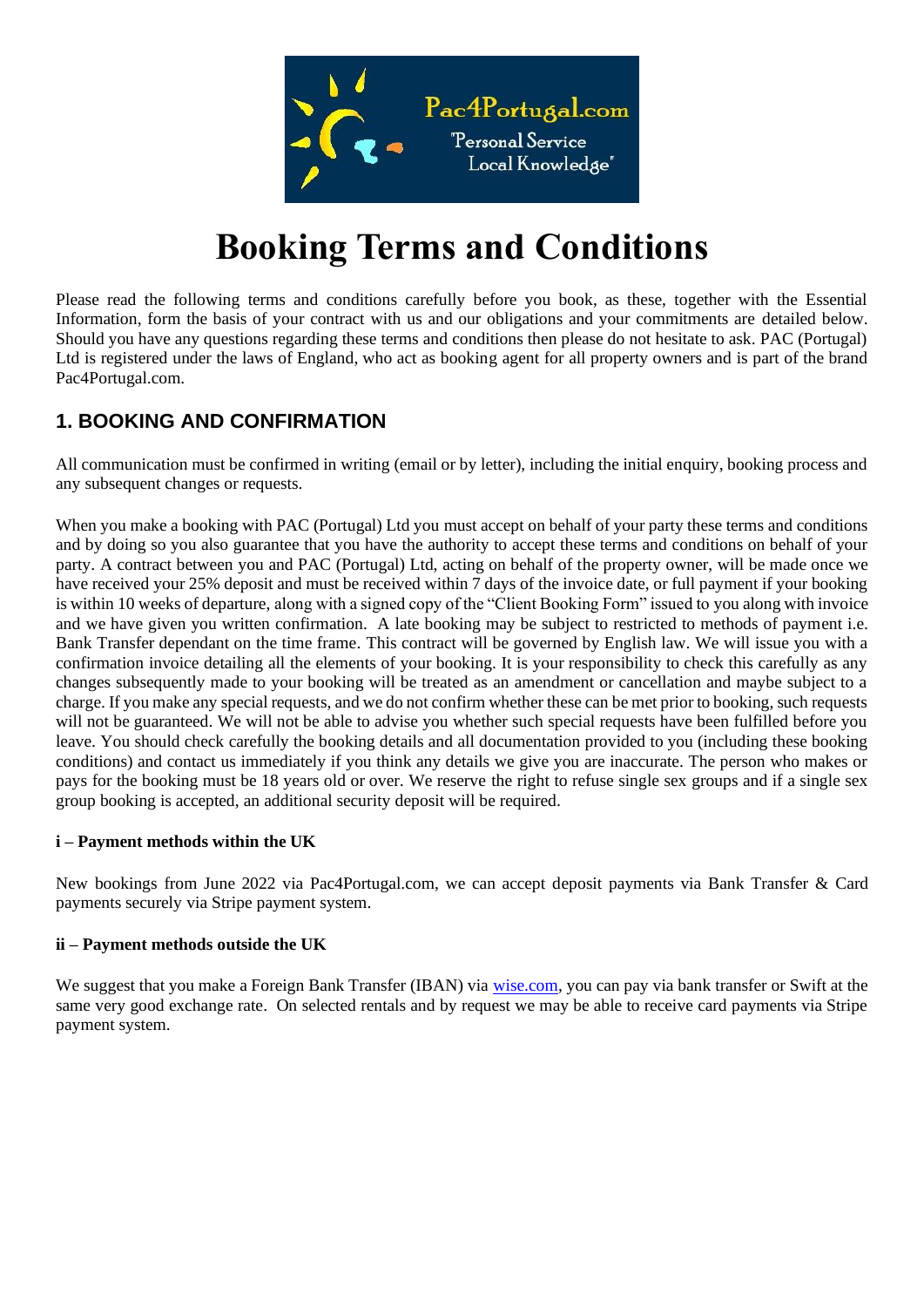

# **Booking Terms and Conditions**

Please read the following terms and conditions carefully before you book, as these, together with the Essential Information, form the basis of your contract with us and our obligations and your commitments are detailed below. Should you have any questions regarding these terms and conditions then please do not hesitate to ask. PAC (Portugal) Ltd is registered under the laws of England, who act as booking agent for all property owners and is part of the brand Pac4Portugal.com.

## **1. BOOKING AND CONFIRMATION**

All communication must be confirmed in writing (email or by letter), including the initial enquiry, booking process and any subsequent changes or requests.

When you make a booking with PAC (Portugal) Ltd you must accept on behalf of your party these terms and conditions and by doing so you also guarantee that you have the authority to accept these terms and conditions on behalf of your party. A contract between you and PAC (Portugal) Ltd, acting on behalf of the property owner, will be made once we have received your 25% deposit and must be received within 7 days of the invoice date, or full payment if your booking is within 10 weeks of departure, along with a signed copy of the "Client Booking Form" issued to you along with invoice and we have given you written confirmation. A late booking may be subject to restricted to methods of payment i.e. Bank Transfer dependant on the time frame. This contract will be governed by English law. We will issue you with a confirmation invoice detailing all the elements of your booking. It is your responsibility to check this carefully as any changes subsequently made to your booking will be treated as an amendment or cancellation and maybe subject to a charge. If you make any special requests, and we do not confirm whether these can be met prior to booking, such requests will not be guaranteed. We will not be able to advise you whether such special requests have been fulfilled before you leave. You should check carefully the booking details and all documentation provided to you (including these booking conditions) and contact us immediately if you think any details we give you are inaccurate. The person who makes or pays for the booking must be 18 years old or over. We reserve the right to refuse single sex groups and if a single sex group booking is accepted, an additional security deposit will be required.

#### **i – Payment methods within the UK**

New bookings from June 2022 via Pac4Portugal.com, we can accept deposit payments via Bank Transfer & Card payments securely via Stripe payment system.

#### **ii – Payment methods outside the UK**

We suggest that you make a Foreign Bank Transfer (IBAN) via [wise.com,](https://wise.com/) you can pay via bank transfer or Swift at the same very good exchange rate. On selected rentals and by request we may be able to receive card payments via Stripe payment system.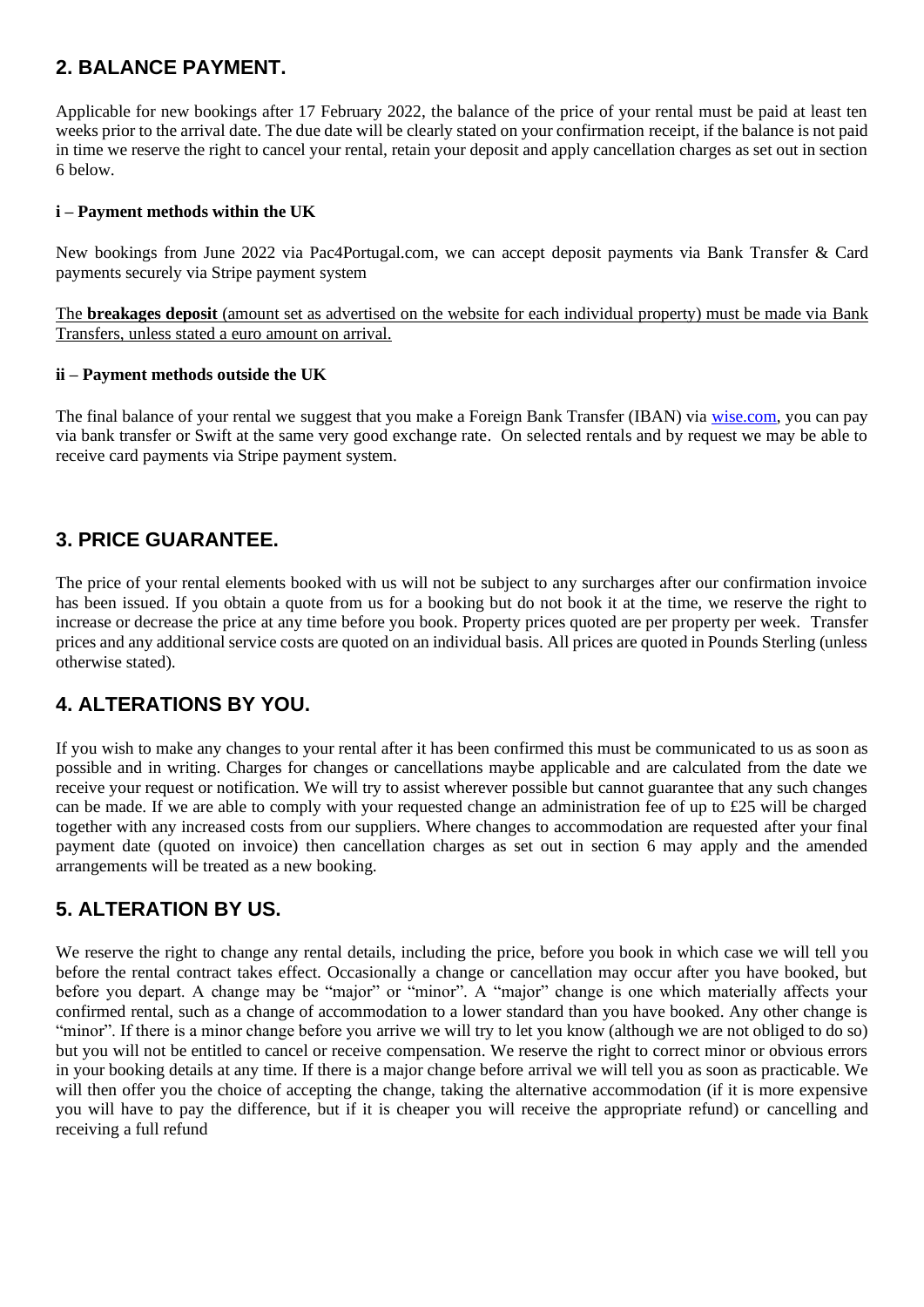## **2. BALANCE PAYMENT.**

Applicable for new bookings after 17 February 2022, the balance of the price of your rental must be paid at least ten weeks prior to the arrival date. The due date will be clearly stated on your confirmation receipt, if the balance is not paid in time we reserve the right to cancel your rental, retain your deposit and apply cancellation charges as set out in section 6 below.

#### **i – Payment methods within the UK**

New bookings from June 2022 via Pac4Portugal.com, we can accept deposit payments via Bank Transfer & Card payments securely via Stripe payment system

The **breakages deposit** (amount set as advertised on the website for each individual property) must be made via Bank Transfers, unless stated a euro amount on arrival.

#### **ii – Payment methods outside the UK**

The final balance of your rental we suggest that you make a Foreign Bank Transfer (IBAN) via [wise.com,](https://wise.com/) you can pay via bank transfer or Swift at the same very good exchange rate. On selected rentals and by request we may be able to receive card payments via Stripe payment system.

## **3. PRICE GUARANTEE.**

The price of your rental elements booked with us will not be subject to any surcharges after our confirmation invoice has been issued. If you obtain a quote from us for a booking but do not book it at the time, we reserve the right to increase or decrease the price at any time before you book. Property prices quoted are per property per week. Transfer prices and any additional service costs are quoted on an individual basis. All prices are quoted in Pounds Sterling (unless otherwise stated).

#### **4. ALTERATIONS BY YOU.**

If you wish to make any changes to your rental after it has been confirmed this must be communicated to us as soon as possible and in writing. Charges for changes or cancellations maybe applicable and are calculated from the date we receive your request or notification. We will try to assist wherever possible but cannot guarantee that any such changes can be made. If we are able to comply with your requested change an administration fee of up to £25 will be charged together with any increased costs from our suppliers. Where changes to accommodation are requested after your final payment date (quoted on invoice) then cancellation charges as set out in section 6 may apply and the amended arrangements will be treated as a new booking.

#### **5. ALTERATION BY US.**

We reserve the right to change any rental details, including the price, before you book in which case we will tell you before the rental contract takes effect. Occasionally a change or cancellation may occur after you have booked, but before you depart. A change may be "major" or "minor". A "major" change is one which materially affects your confirmed rental, such as a change of accommodation to a lower standard than you have booked. Any other change is "minor". If there is a minor change before you arrive we will try to let you know (although we are not obliged to do so) but you will not be entitled to cancel or receive compensation. We reserve the right to correct minor or obvious errors in your booking details at any time. If there is a major change before arrival we will tell you as soon as practicable. We will then offer you the choice of accepting the change, taking the alternative accommodation (if it is more expensive you will have to pay the difference, but if it is cheaper you will receive the appropriate refund) or cancelling and receiving a full refund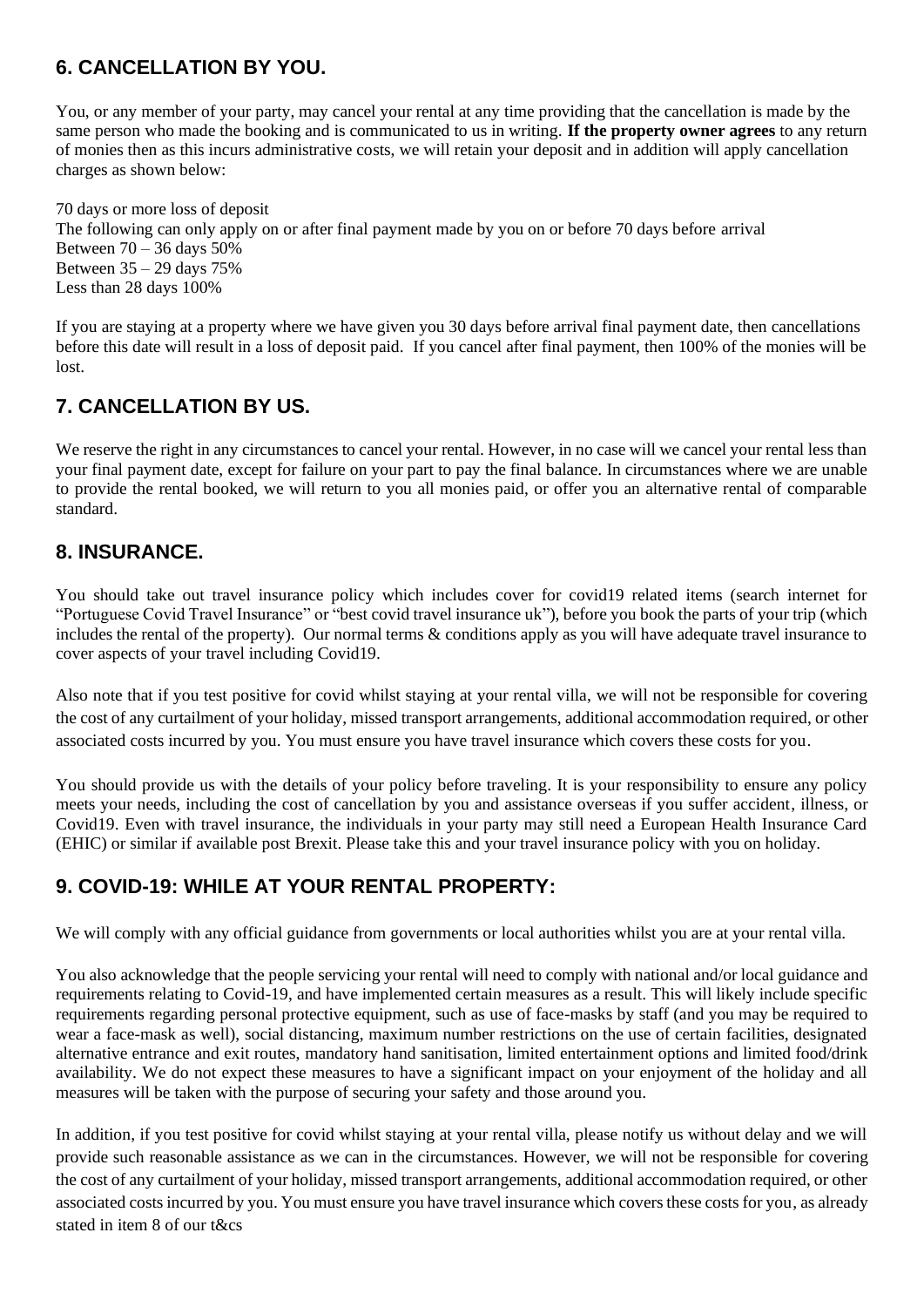# **6. CANCELLATION BY YOU.**

You, or any member of your party, may cancel your rental at any time providing that the cancellation is made by the same person who made the booking and is communicated to us in writing. **If the property owner agrees** to any return of monies then as this incurs administrative costs, we will retain your deposit and in addition will apply cancellation charges as shown below:

70 days or more loss of deposit The following can only apply on or after final payment made by you on or before 70 days before arrival Between  $70 - 36$  days  $50\%$ Between 35 – 29 days 75% Less than 28 days 100%

If you are staying at a property where we have given you 30 days before arrival final payment date, then cancellations before this date will result in a loss of deposit paid. If you cancel after final payment, then 100% of the monies will be lost.

# **7. CANCELLATION BY US.**

We reserve the right in any circumstances to cancel your rental. However, in no case will we cancel your rental less than your final payment date, except for failure on your part to pay the final balance. In circumstances where we are unable to provide the rental booked, we will return to you all monies paid, or offer you an alternative rental of comparable standard.

## **8. INSURANCE.**

You should take out travel insurance policy which includes cover for covid19 related items (search internet for "Portuguese Covid Travel Insurance" or "best covid travel insurance uk"), before you book the parts of your trip (which includes the rental of the property). Our normal terms & conditions apply as you will have adequate travel insurance to cover aspects of your travel including Covid19.

Also note that if you test positive for covid whilst staying at your rental villa, we will not be responsible for covering the cost of any curtailment of your holiday, missed transport arrangements, additional accommodation required, or other associated costs incurred by you. You must ensure you have travel insurance which covers these costs for you.

You should provide us with the details of your policy before traveling. It is your responsibility to ensure any policy meets your needs, including the cost of cancellation by you and assistance overseas if you suffer accident, illness, or Covid19. Even with travel insurance, the individuals in your party may still need a European Health Insurance Card (EHIC) or similar if available post Brexit. Please take this and your travel insurance policy with you on holiday.

# **9. COVID-19: WHILE AT YOUR RENTAL PROPERTY:**

We will comply with any official guidance from governments or local authorities whilst you are at your rental villa.

You also acknowledge that the people servicing your rental will need to comply with national and/or local guidance and requirements relating to Covid-19, and have implemented certain measures as a result. This will likely include specific requirements regarding personal protective equipment, such as use of face-masks by staff (and you may be required to wear a face-mask as well), social distancing, maximum number restrictions on the use of certain facilities, designated alternative entrance and exit routes, mandatory hand sanitisation, limited entertainment options and limited food/drink availability. We do not expect these measures to have a significant impact on your enjoyment of the holiday and all measures will be taken with the purpose of securing your safety and those around you.

In addition, if you test positive for covid whilst staying at your rental villa, please notify us without delay and we will provide such reasonable assistance as we can in the circumstances. However, we will not be responsible for covering the cost of any curtailment of your holiday, missed transport arrangements, additional accommodation required, or other associated costs incurred by you. You must ensure you have travel insurance which covers these costs for you, as already stated in item 8 of our t&cs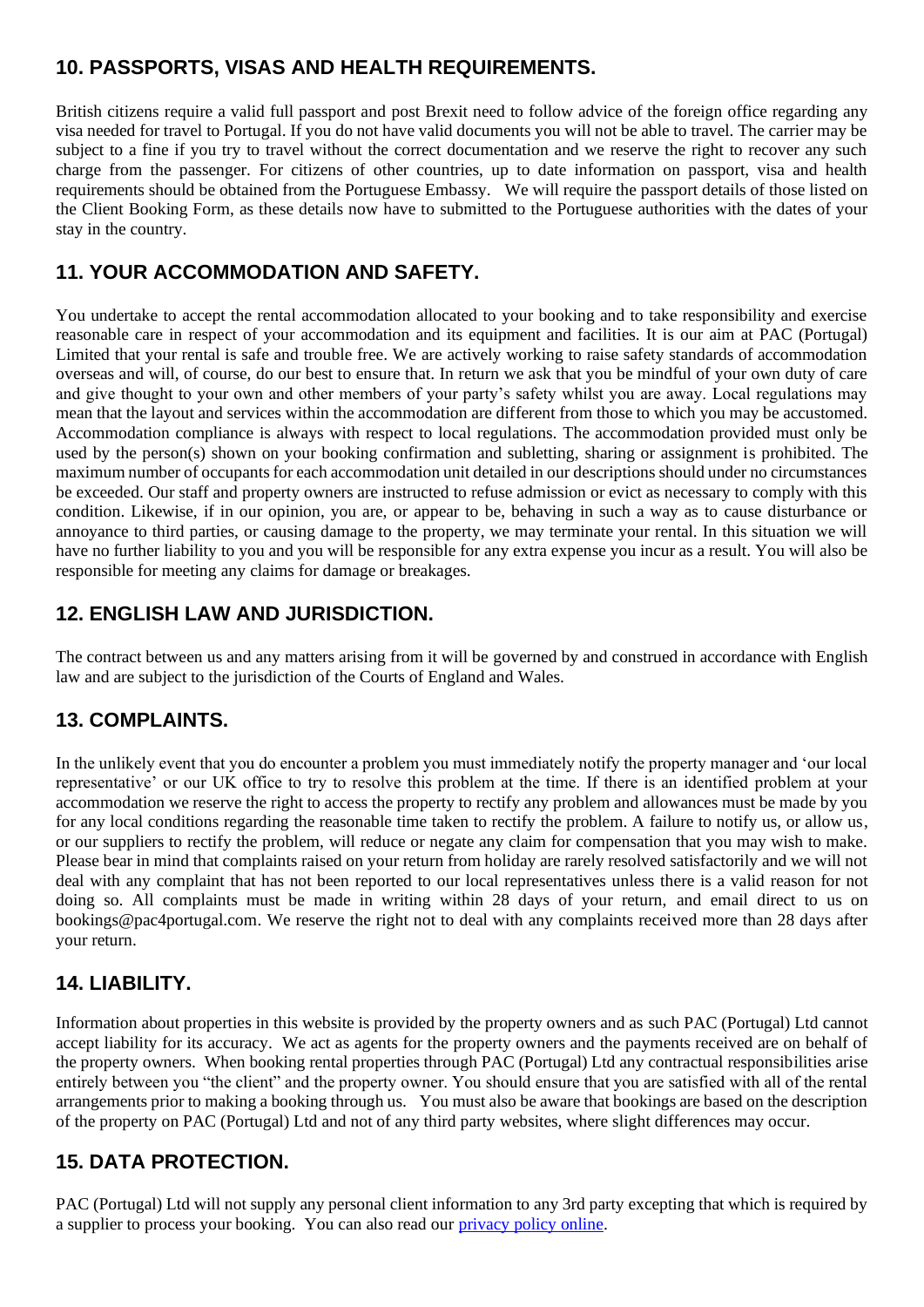# **10. PASSPORTS, VISAS AND HEALTH REQUIREMENTS.**

British citizens require a valid full passport and post Brexit need to follow advice of the foreign office regarding any visa needed for travel to Portugal. If you do not have valid documents you will not be able to travel. The carrier may be subject to a fine if you try to travel without the correct documentation and we reserve the right to recover any such charge from the passenger. For citizens of other countries, up to date information on passport, visa and health requirements should be obtained from the Portuguese Embassy. We will require the passport details of those listed on the Client Booking Form, as these details now have to submitted to the Portuguese authorities with the dates of your stay in the country.

## **11. YOUR ACCOMMODATION AND SAFETY.**

You undertake to accept the rental accommodation allocated to your booking and to take responsibility and exercise reasonable care in respect of your accommodation and its equipment and facilities. It is our aim at PAC (Portugal) Limited that your rental is safe and trouble free. We are actively working to raise safety standards of accommodation overseas and will, of course, do our best to ensure that. In return we ask that you be mindful of your own duty of care and give thought to your own and other members of your party's safety whilst you are away. Local regulations may mean that the layout and services within the accommodation are different from those to which you may be accustomed. Accommodation compliance is always with respect to local regulations. The accommodation provided must only be used by the person(s) shown on your booking confirmation and subletting, sharing or assignment is prohibited. The maximum number of occupants for each accommodation unit detailed in our descriptions should under no circumstances be exceeded. Our staff and property owners are instructed to refuse admission or evict as necessary to comply with this condition. Likewise, if in our opinion, you are, or appear to be, behaving in such a way as to cause disturbance or annoyance to third parties, or causing damage to the property, we may terminate your rental. In this situation we will have no further liability to you and you will be responsible for any extra expense you incur as a result. You will also be responsible for meeting any claims for damage or breakages.

# **12. ENGLISH LAW AND JURISDICTION.**

The contract between us and any matters arising from it will be governed by and construed in accordance with English law and are subject to the jurisdiction of the Courts of England and Wales.

#### **13. COMPLAINTS.**

In the unlikely event that you do encounter a problem you must immediately notify the property manager and 'our local representative' or our UK office to try to resolve this problem at the time. If there is an identified problem at your accommodation we reserve the right to access the property to rectify any problem and allowances must be made by you for any local conditions regarding the reasonable time taken to rectify the problem. A failure to notify us, or allow us, or our suppliers to rectify the problem, will reduce or negate any claim for compensation that you may wish to make. Please bear in mind that complaints raised on your return from holiday are rarely resolved satisfactorily and we will not deal with any complaint that has not been reported to our local representatives unless there is a valid reason for not doing so. All complaints must be made in writing within 28 days of your return, and email direct to us on bookings@pac4portugal.com. We reserve the right not to deal with any complaints received more than 28 days after your return.

#### **14. LIABILITY.**

Information about properties in this website is provided by the property owners and as such PAC (Portugal) Ltd cannot accept liability for its accuracy. We act as agents for the property owners and the payments received are on behalf of the property owners. When booking rental properties through PAC (Portugal) Ltd any contractual responsibilities arise entirely between you "the client" and the property owner. You should ensure that you are satisfied with all of the rental arrangements prior to making a booking through us. You must also be aware that bookings are based on the description of the property on PAC (Portugal) Ltd and not of any third party websites, where slight differences may occur.

# **15. DATA PROTECTION.**

PAC (Portugal) Ltd will not supply any personal client information to any 3rd party excepting that which is required by a supplier to process your booking. You can also read our [privacy policy online.](https://www.pac4portugal.com/privacy-policy)